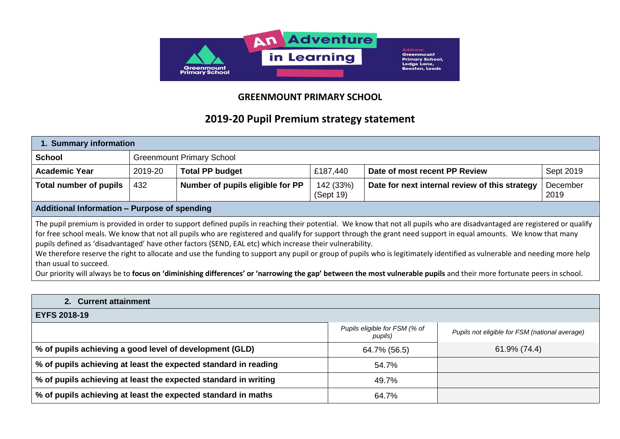

## **GREENMOUNT PRIMARY SCHOOL**

## **2019-20 Pupil Premium strategy statement**

| 1. Summary information                                                                                                                                                                                                                                                                                                                                                                                                                                                                                                                                                                                                                                                                                                                                                                                                                    |                                  |                                  |                        |                                                |                  |
|-------------------------------------------------------------------------------------------------------------------------------------------------------------------------------------------------------------------------------------------------------------------------------------------------------------------------------------------------------------------------------------------------------------------------------------------------------------------------------------------------------------------------------------------------------------------------------------------------------------------------------------------------------------------------------------------------------------------------------------------------------------------------------------------------------------------------------------------|----------------------------------|----------------------------------|------------------------|------------------------------------------------|------------------|
| <b>School</b>                                                                                                                                                                                                                                                                                                                                                                                                                                                                                                                                                                                                                                                                                                                                                                                                                             | <b>Greenmount Primary School</b> |                                  |                        |                                                |                  |
| <b>Academic Year</b>                                                                                                                                                                                                                                                                                                                                                                                                                                                                                                                                                                                                                                                                                                                                                                                                                      | 2019-20                          | <b>Total PP budget</b>           | £187,440               | Date of most recent PP Review                  | Sept 2019        |
| <b>Total number of pupils</b>                                                                                                                                                                                                                                                                                                                                                                                                                                                                                                                                                                                                                                                                                                                                                                                                             | 432                              | Number of pupils eligible for PP | 142 (33%)<br>(Sept 19) | Date for next internal review of this strategy | December<br>2019 |
| Additional Information - Purpose of spending                                                                                                                                                                                                                                                                                                                                                                                                                                                                                                                                                                                                                                                                                                                                                                                              |                                  |                                  |                        |                                                |                  |
| The pupil premium is provided in order to support defined pupils in reaching their potential. We know that not all pupils who are disadvantaged are registered or qualify<br>for free school meals. We know that not all pupils who are registered and qualify for support through the grant need support in equal amounts. We know that many<br>pupils defined as 'disadvantaged' have other factors (SEND, EAL etc) which increase their vulnerability.<br>We therefore reserve the right to allocate and use the funding to support any pupil or group of pupils who is legitimately identified as vulnerable and needing more help<br>than usual to succeed.<br>Our priority will always be to focus on 'diminishing differences' or 'narrowing the gap' between the most vulnerable pupils and their more fortunate peers in school. |                                  |                                  |                        |                                                |                  |
| 2. Current attainment                                                                                                                                                                                                                                                                                                                                                                                                                                                                                                                                                                                                                                                                                                                                                                                                                     |                                  |                                  |                        |                                                |                  |
| <b>EYFS 2018-19</b>                                                                                                                                                                                                                                                                                                                                                                                                                                                                                                                                                                                                                                                                                                                                                                                                                       |                                  |                                  |                        |                                                |                  |

|                                                                 | Pupils eligible for FSM (% of<br>pupils) | Pupils not eligible for FSM (national average) |
|-----------------------------------------------------------------|------------------------------------------|------------------------------------------------|
| $\mid$ % of pupils achieving a good level of development (GLD)  | 64.7% (56.5)                             | 61.9% (74.4)                                   |
| % of pupils achieving at least the expected standard in reading | 54.7%                                    |                                                |
| % of pupils achieving at least the expected standard in writing | 49.7%                                    |                                                |
| % of pupils achieving at least the expected standard in maths   | 64.7%                                    |                                                |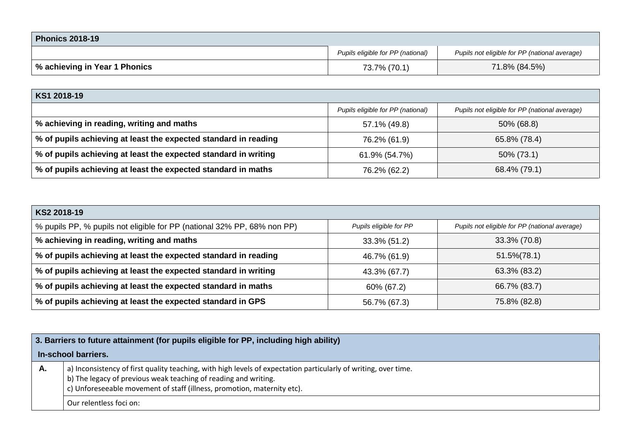| <b>Phonics 2018-19</b>        |                                   |                                               |
|-------------------------------|-----------------------------------|-----------------------------------------------|
|                               | Pupils eligible for PP (national) | Pupils not eligible for PP (national average) |
| % achieving in Year 1 Phonics | 73.7% (70.1)                      | 71.8% (84.5%)                                 |

## **KS1 2018-19**

|                                                                 | Pupils eligible for PP (national) | Pupils not eligible for PP (national average) |
|-----------------------------------------------------------------|-----------------------------------|-----------------------------------------------|
| % achieving in reading, writing and maths                       | 57.1% (49.8)                      | 50% (68.8)                                    |
| % of pupils achieving at least the expected standard in reading | 76.2% (61.9)                      | 65.8% (78.4)                                  |
| % of pupils achieving at least the expected standard in writing | 61.9% (54.7%)                     | 50% (73.1)                                    |
| % of pupils achieving at least the expected standard in maths   | 76.2% (62.2)                      | 68.4% (79.1)                                  |

| KS2 2018-19                                                             |                        |                                               |  |
|-------------------------------------------------------------------------|------------------------|-----------------------------------------------|--|
| % pupils PP, % pupils not eligible for PP (national 32% PP, 68% non PP) | Pupils eligible for PP | Pupils not eligible for PP (national average) |  |
| % achieving in reading, writing and maths                               | 33.3% (51.2)           | 33.3% (70.8)                                  |  |
| % of pupils achieving at least the expected standard in reading         | 46.7% (61.9)           | $51.5\%(78.1)$                                |  |
| % of pupils achieving at least the expected standard in writing         | 43.3% (67.7)           | 63.3% (83.2)                                  |  |
| % of pupils achieving at least the expected standard in maths           | 60% (67.2)             | 66.7% (83.7)                                  |  |
| % of pupils achieving at least the expected standard in GPS             | 56.7% (67.3)           | 75.8% (82.8)                                  |  |

| 3. Barriers to future attainment (for pupils eligible for PP, including high ability) |                                                                                                                                                                                                                                                               |  |  |
|---------------------------------------------------------------------------------------|---------------------------------------------------------------------------------------------------------------------------------------------------------------------------------------------------------------------------------------------------------------|--|--|
| In-school barriers.                                                                   |                                                                                                                                                                                                                                                               |  |  |
| А.                                                                                    | a) Inconsistency of first quality teaching, with high levels of expectation particularly of writing, over time.<br>b) The legacy of previous weak teaching of reading and writing.<br>c) Unforeseeable movement of staff (illness, promotion, maternity etc). |  |  |
|                                                                                       | Our relentless foci on:                                                                                                                                                                                                                                       |  |  |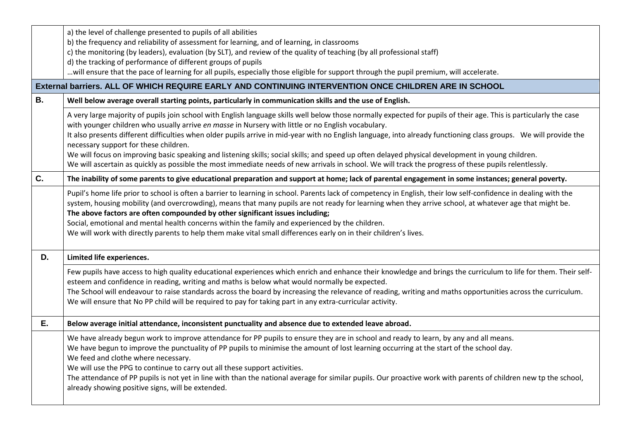|           | a) the level of challenge presented to pupils of all abilities                                                                                                                                                                                                                                                                                                                                                                                                                                                                                                                                                                     |  |  |  |  |
|-----------|------------------------------------------------------------------------------------------------------------------------------------------------------------------------------------------------------------------------------------------------------------------------------------------------------------------------------------------------------------------------------------------------------------------------------------------------------------------------------------------------------------------------------------------------------------------------------------------------------------------------------------|--|--|--|--|
|           | b) the frequency and reliability of assessment for learning, and of learning, in classrooms                                                                                                                                                                                                                                                                                                                                                                                                                                                                                                                                        |  |  |  |  |
|           | c) the monitoring (by leaders), evaluation (by SLT), and review of the quality of teaching (by all professional staff)                                                                                                                                                                                                                                                                                                                                                                                                                                                                                                             |  |  |  |  |
|           | d) the tracking of performance of different groups of pupils                                                                                                                                                                                                                                                                                                                                                                                                                                                                                                                                                                       |  |  |  |  |
|           | will ensure that the pace of learning for all pupils, especially those eligible for support through the pupil premium, will accelerate.                                                                                                                                                                                                                                                                                                                                                                                                                                                                                            |  |  |  |  |
|           | External barriers. ALL OF WHICH REQUIRE EARLY AND CONTINUING INTERVENTION ONCE CHILDREN ARE IN SCHOOL                                                                                                                                                                                                                                                                                                                                                                                                                                                                                                                              |  |  |  |  |
| <b>B.</b> | Well below average overall starting points, particularly in communication skills and the use of English.                                                                                                                                                                                                                                                                                                                                                                                                                                                                                                                           |  |  |  |  |
|           | A very large majority of pupils join school with English language skills well below those normally expected for pupils of their age. This is particularly the case<br>with younger children who usually arrive en masse in Nursery with little or no English vocabulary.                                                                                                                                                                                                                                                                                                                                                           |  |  |  |  |
|           | It also presents different difficulties when older pupils arrive in mid-year with no English language, into already functioning class groups. We will provide the<br>necessary support for these children.                                                                                                                                                                                                                                                                                                                                                                                                                         |  |  |  |  |
|           | We will focus on improving basic speaking and listening skills; social skills; and speed up often delayed physical development in young children.<br>We will ascertain as quickly as possible the most immediate needs of new arrivals in school. We will track the progress of these pupils relentlessly.                                                                                                                                                                                                                                                                                                                         |  |  |  |  |
| C.        | The inability of some parents to give educational preparation and support at home; lack of parental engagement in some instances; general poverty.                                                                                                                                                                                                                                                                                                                                                                                                                                                                                 |  |  |  |  |
|           | Pupil's home life prior to school is often a barrier to learning in school. Parents lack of competency in English, their low self-confidence in dealing with the<br>system, housing mobility (and overcrowding), means that many pupils are not ready for learning when they arrive school, at whatever age that might be.<br>The above factors are often compounded by other significant issues including;<br>Social, emotional and mental health concerns within the family and experienced by the children.<br>We will work with directly parents to help them make vital small differences early on in their children's lives. |  |  |  |  |
| D.        | Limited life experiences.                                                                                                                                                                                                                                                                                                                                                                                                                                                                                                                                                                                                          |  |  |  |  |
|           | Few pupils have access to high quality educational experiences which enrich and enhance their knowledge and brings the curriculum to life for them. Their self-<br>esteem and confidence in reading, writing and maths is below what would normally be expected.<br>The School will endeavour to raise standards across the board by increasing the relevance of reading, writing and maths opportunities across the curriculum.<br>We will ensure that No PP child will be required to pay for taking part in any extra-curricular activity.                                                                                      |  |  |  |  |
|           |                                                                                                                                                                                                                                                                                                                                                                                                                                                                                                                                                                                                                                    |  |  |  |  |
| Ε.        | Below average initial attendance, inconsistent punctuality and absence due to extended leave abroad.                                                                                                                                                                                                                                                                                                                                                                                                                                                                                                                               |  |  |  |  |
|           | We have already begun work to improve attendance for PP pupils to ensure they are in school and ready to learn, by any and all means.<br>We have begun to improve the punctuality of PP pupils to minimise the amount of lost learning occurring at the start of the school day.<br>We feed and clothe where necessary.<br>We will use the PPG to continue to carry out all these support activities.<br>The attendance of PP pupils is not yet in line with than the national average for similar pupils. Our proactive work with parents of children new tp the school,                                                          |  |  |  |  |
|           | already showing positive signs, will be extended.                                                                                                                                                                                                                                                                                                                                                                                                                                                                                                                                                                                  |  |  |  |  |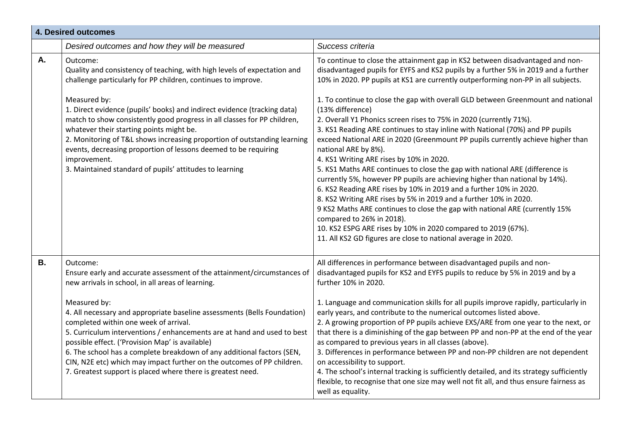|           | <b>4. Desired outcomes</b>                                                                                                                                                                                                                                                                                                                                                                                                                                                                                                                                                                                                     |                                                                                                                                                                                                                                                                                                                                                                                                                                                                                                                                                                                                                                                                                                                                                                                                                                                                                                                                                                                                                                                                                                                                                                                                                                        |  |  |
|-----------|--------------------------------------------------------------------------------------------------------------------------------------------------------------------------------------------------------------------------------------------------------------------------------------------------------------------------------------------------------------------------------------------------------------------------------------------------------------------------------------------------------------------------------------------------------------------------------------------------------------------------------|----------------------------------------------------------------------------------------------------------------------------------------------------------------------------------------------------------------------------------------------------------------------------------------------------------------------------------------------------------------------------------------------------------------------------------------------------------------------------------------------------------------------------------------------------------------------------------------------------------------------------------------------------------------------------------------------------------------------------------------------------------------------------------------------------------------------------------------------------------------------------------------------------------------------------------------------------------------------------------------------------------------------------------------------------------------------------------------------------------------------------------------------------------------------------------------------------------------------------------------|--|--|
|           | Desired outcomes and how they will be measured                                                                                                                                                                                                                                                                                                                                                                                                                                                                                                                                                                                 | Success criteria                                                                                                                                                                                                                                                                                                                                                                                                                                                                                                                                                                                                                                                                                                                                                                                                                                                                                                                                                                                                                                                                                                                                                                                                                       |  |  |
| Α.        | Outcome:<br>Quality and consistency of teaching, with high levels of expectation and<br>challenge particularly for PP children, continues to improve.<br>Measured by:<br>1. Direct evidence (pupils' books) and indirect evidence (tracking data)<br>match to show consistently good progress in all classes for PP children,<br>whatever their starting points might be.<br>2. Monitoring of T&L shows increasing proportion of outstanding learning<br>events, decreasing proportion of lessons deemed to be requiring<br>improvement.<br>3. Maintained standard of pupils' attitudes to learning                            | To continue to close the attainment gap in KS2 between disadvantaged and non-<br>disadvantaged pupils for EYFS and KS2 pupils by a further 5% in 2019 and a further<br>10% in 2020. PP pupils at KS1 are currently outperforming non-PP in all subjects.<br>1. To continue to close the gap with overall GLD between Greenmount and national<br>(13% difference)<br>2. Overall Y1 Phonics screen rises to 75% in 2020 (currently 71%).<br>3. KS1 Reading ARE continues to stay inline with National (70%) and PP pupils<br>exceed National ARE in 2020 (Greenmount PP pupils currently achieve higher than<br>national ARE by 8%).<br>4. KS1 Writing ARE rises by 10% in 2020.<br>5. KS1 Maths ARE continues to close the gap with national ARE (difference is<br>currently 5%, however PP pupils are achieving higher than national by 14%).<br>6. KS2 Reading ARE rises by 10% in 2019 and a further 10% in 2020.<br>8. KS2 Writing ARE rises by 5% in 2019 and a further 10% in 2020.<br>9 KS2 Maths ARE continues to close the gap with national ARE (currently 15%<br>compared to 26% in 2018).<br>10. KS2 ESPG ARE rises by 10% in 2020 compared to 2019 (67%).<br>11. All KS2 GD figures are close to national average in 2020. |  |  |
| <b>B.</b> | Outcome:<br>Ensure early and accurate assessment of the attainment/circumstances of<br>new arrivals in school, in all areas of learning.<br>Measured by:<br>4. All necessary and appropriate baseline assessments (Bells Foundation)<br>completed within one week of arrival.<br>5. Curriculum interventions / enhancements are at hand and used to best<br>possible effect. ('Provision Map' is available)<br>6. The school has a complete breakdown of any additional factors (SEN,<br>CIN, N2E etc) which may impact further on the outcomes of PP children.<br>7. Greatest support is placed where there is greatest need. | All differences in performance between disadvantaged pupils and non-<br>disadvantaged pupils for KS2 and EYFS pupils to reduce by 5% in 2019 and by a<br>further 10% in 2020.<br>1. Language and communication skills for all pupils improve rapidly, particularly in<br>early years, and contribute to the numerical outcomes listed above.<br>2. A growing proportion of PP pupils achieve EXS/ARE from one year to the next, or<br>that there is a diminishing of the gap between PP and non-PP at the end of the year<br>as compared to previous years in all classes (above).<br>3. Differences in performance between PP and non-PP children are not dependent<br>on accessibility to support.<br>4. The school's internal tracking is sufficiently detailed, and its strategy sufficiently<br>flexible, to recognise that one size may well not fit all, and thus ensure fairness as<br>well as equality.                                                                                                                                                                                                                                                                                                                       |  |  |